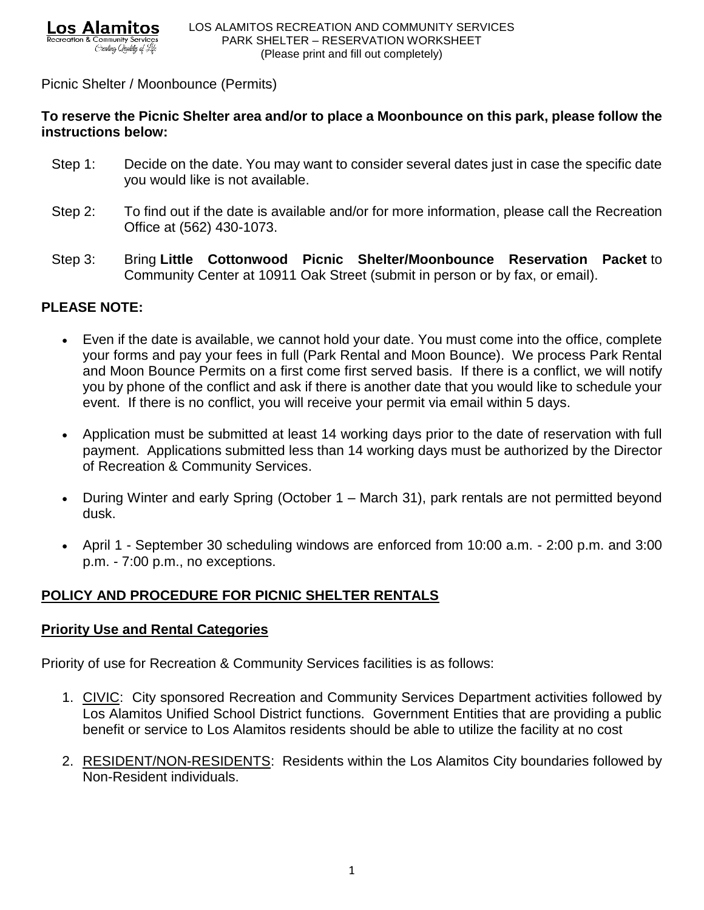### Picnic Shelter / Moonbounce (Permits)

## **To reserve the Picnic Shelter area and/or to place a Moonbounce on this park, please follow the instructions below:**

- Step 1: Decide on the date. You may want to consider several dates just in case the specific date you would like is not available.
- Step 2: To find out if the date is available and/or for more information, please call the Recreation Office at (562) 430-1073.
- Step 3: Bring **Little Cottonwood Picnic Shelter/Moonbounce Reservation Packet** to Community Center at 10911 Oak Street (submit in person or by fax, or email).

## **PLEASE NOTE:**

- Even if the date is available, we cannot hold your date. You must come into the office, complete your forms and pay your fees in full (Park Rental and Moon Bounce). We process Park Rental and Moon Bounce Permits on a first come first served basis. If there is a conflict, we will notify you by phone of the conflict and ask if there is another date that you would like to schedule your event. If there is no conflict, you will receive your permit via email within 5 days.
- Application must be submitted at least 14 working days prior to the date of reservation with full payment. Applications submitted less than 14 working days must be authorized by the Director of Recreation & Community Services.
- During Winter and early Spring (October 1 March 31), park rentals are not permitted beyond dusk.
- April 1 September 30 scheduling windows are enforced from 10:00 a.m. 2:00 p.m. and 3:00 p.m. - 7:00 p.m., no exceptions.

# **POLICY AND PROCEDURE FOR PICNIC SHELTER RENTALS**

## **Priority Use and Rental Categories**

Priority of use for Recreation & Community Services facilities is as follows:

- 1. CIVIC: City sponsored Recreation and Community Services Department activities followed by Los Alamitos Unified School District functions. Government Entities that are providing a public benefit or service to Los Alamitos residents should be able to utilize the facility at no cost
- 2. RESIDENT/NON-RESIDENTS: Residents within the Los Alamitos City boundaries followed by Non-Resident individuals.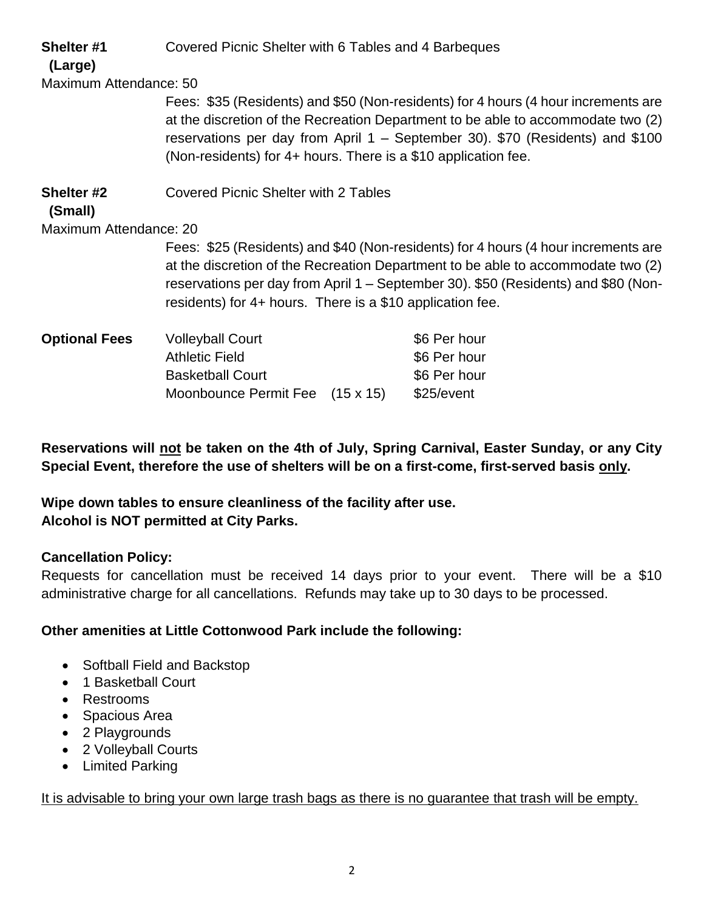| Shelter #1<br>(Large)  | Covered Picnic Shelter with 6 Tables and 4 Barbeques                                                                                                                                                                                                                                                                      |                                                            |  |
|------------------------|---------------------------------------------------------------------------------------------------------------------------------------------------------------------------------------------------------------------------------------------------------------------------------------------------------------------------|------------------------------------------------------------|--|
| Maximum Attendance: 50 |                                                                                                                                                                                                                                                                                                                           |                                                            |  |
|                        | Fees: \$35 (Residents) and \$50 (Non-residents) for 4 hours (4 hour increments are<br>at the discretion of the Recreation Department to be able to accommodate two (2)<br>reservations per day from April 1 – September 30). \$70 (Residents) and \$100<br>(Non-residents) for 4+ hours. There is a \$10 application fee. |                                                            |  |
| Shelter #2<br>(Small)  | <b>Covered Picnic Shelter with 2 Tables</b>                                                                                                                                                                                                                                                                               |                                                            |  |
| Maximum Attendance: 20 |                                                                                                                                                                                                                                                                                                                           |                                                            |  |
|                        | Fees: \$25 (Residents) and \$40 (Non-residents) for 4 hours (4 hour increments are<br>at the discretion of the Recreation Department to be able to accommodate two (2)<br>reservations per day from April 1 – September 30). \$50 (Residents) and \$80 (Non-<br>residents) for 4+ hours. There is a \$10 application fee. |                                                            |  |
| <b>Optional Fees</b>   | <b>Volleyball Court</b><br><b>Athletic Field</b><br><b>Basketball Court</b><br>Moonbounce Permit Fee (15 x 15)                                                                                                                                                                                                            | \$6 Per hour<br>\$6 Per hour<br>\$6 Per hour<br>\$25/event |  |

**Reservations will not be taken on the 4th of July, Spring Carnival, Easter Sunday, or any City Special Event, therefore the use of shelters will be on a first-come, first-served basis only.**

**Wipe down tables to ensure cleanliness of the facility after use. Alcohol is NOT permitted at City Parks.**

### **Cancellation Policy:**

Requests for cancellation must be received 14 days prior to your event. There will be a \$10 administrative charge for all cancellations. Refunds may take up to 30 days to be processed.

## **Other amenities at Little Cottonwood Park include the following:**

- Softball Field and Backstop
- 1 Basketball Court
- Restrooms
- Spacious Area
- 2 Playgrounds
- 2 Volleyball Courts
- Limited Parking

It is advisable to bring your own large trash bags as there is no guarantee that trash will be empty.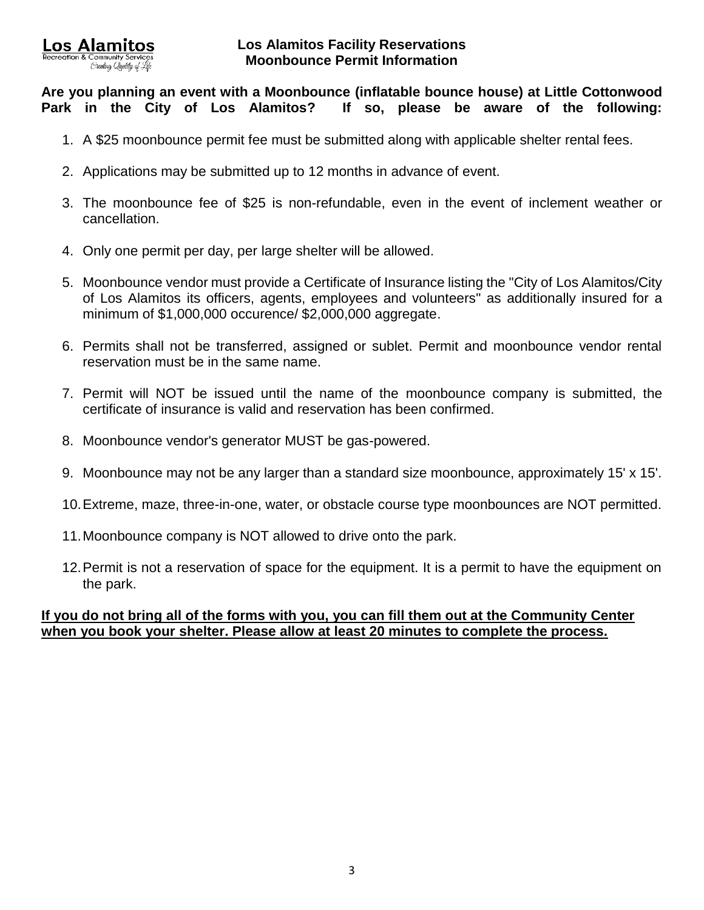**Are you planning an event with a Moonbounce (inflatable bounce house) at Little Cottonwood Park in the City of Los Alamitos? If so, please be aware of the following:**

- 1. A \$25 moonbounce permit fee must be submitted along with applicable shelter rental fees.
- 2. Applications may be submitted up to 12 months in advance of event.
- 3. The moonbounce fee of \$25 is non-refundable, even in the event of inclement weather or cancellation.
- 4. Only one permit per day, per large shelter will be allowed.
- 5. Moonbounce vendor must provide a Certificate of Insurance listing the "City of Los Alamitos/City of Los Alamitos its officers, agents, employees and volunteers" as additionally insured for a minimum of \$1,000,000 occurence/ \$2,000,000 aggregate.
- 6. Permits shall not be transferred, assigned or sublet. Permit and moonbounce vendor rental reservation must be in the same name.
- 7. Permit will NOT be issued until the name of the moonbounce company is submitted, the certificate of insurance is valid and reservation has been confirmed.
- 8. Moonbounce vendor's generator MUST be gas-powered.
- 9. Moonbounce may not be any larger than a standard size moonbounce, approximately 15' x 15'.
- 10.Extreme, maze, three-in-one, water, or obstacle course type moonbounces are NOT permitted.
- 11.Moonbounce company is NOT allowed to drive onto the park.
- 12.Permit is not a reservation of space for the equipment. It is a permit to have the equipment on the park.

### **If you do not bring all of the forms with you, you can fill them out at the Community Center when you book your shelter. Please allow at least 20 minutes to complete the process.**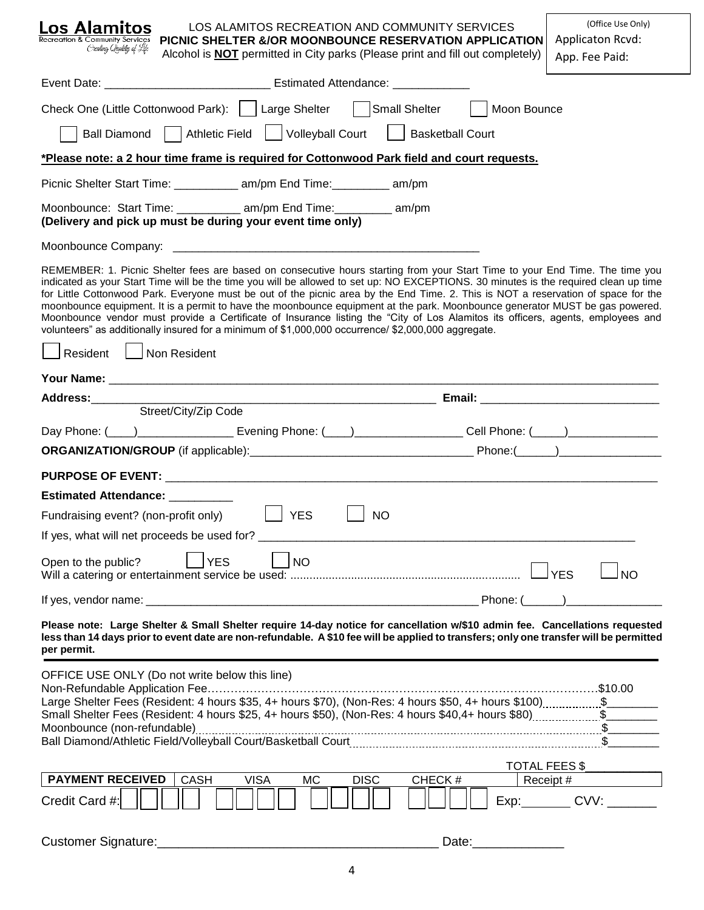| <b>Los Alamitos</b><br><b>Recreation &amp; Community Services</b><br>Creating Quality of Life                                                                                                                                                                                                                                                                                                                                                                                                                                                                                                                                                                                                                                                                                                                    | PICNIC SHELTER &/OR MOONBOUNCE RESERVATION APPLICATION<br>Alcohol is <b>NOT</b> permitted in City parks (Please print and fill out completely)                                                                                                                        | LOS ALAMITOS RECREATION AND COMMUNITY SERVICES |  | (Office Use Only)<br>Applicaton Rcvd:<br>App. Fee Paid: |  |
|------------------------------------------------------------------------------------------------------------------------------------------------------------------------------------------------------------------------------------------------------------------------------------------------------------------------------------------------------------------------------------------------------------------------------------------------------------------------------------------------------------------------------------------------------------------------------------------------------------------------------------------------------------------------------------------------------------------------------------------------------------------------------------------------------------------|-----------------------------------------------------------------------------------------------------------------------------------------------------------------------------------------------------------------------------------------------------------------------|------------------------------------------------|--|---------------------------------------------------------|--|
|                                                                                                                                                                                                                                                                                                                                                                                                                                                                                                                                                                                                                                                                                                                                                                                                                  | Event Date: _________________________________ Estimated Attendance: ____________                                                                                                                                                                                      |                                                |  |                                                         |  |
|                                                                                                                                                                                                                                                                                                                                                                                                                                                                                                                                                                                                                                                                                                                                                                                                                  | Check One (Little Cottonwood Park):     Large Shelter     Small Shelter     Moon Bounce                                                                                                                                                                               |                                                |  |                                                         |  |
|                                                                                                                                                                                                                                                                                                                                                                                                                                                                                                                                                                                                                                                                                                                                                                                                                  | Ball Diamond   Athletic Field   Volleyball Court   Basketball Court                                                                                                                                                                                                   |                                                |  |                                                         |  |
| *Please note: a 2 hour time frame is required for Cottonwood Park field and court requests.                                                                                                                                                                                                                                                                                                                                                                                                                                                                                                                                                                                                                                                                                                                      |                                                                                                                                                                                                                                                                       |                                                |  |                                                         |  |
|                                                                                                                                                                                                                                                                                                                                                                                                                                                                                                                                                                                                                                                                                                                                                                                                                  | Picnic Shelter Start Time: ____________ am/pm End Time: _________ am/pm                                                                                                                                                                                               |                                                |  |                                                         |  |
| Moonbounce: Start Time: ____________ am/pm End Time: ________ am/pm<br>(Delivery and pick up must be during your event time only)                                                                                                                                                                                                                                                                                                                                                                                                                                                                                                                                                                                                                                                                                |                                                                                                                                                                                                                                                                       |                                                |  |                                                         |  |
|                                                                                                                                                                                                                                                                                                                                                                                                                                                                                                                                                                                                                                                                                                                                                                                                                  |                                                                                                                                                                                                                                                                       |                                                |  |                                                         |  |
| REMEMBER: 1. Picnic Shelter fees are based on consecutive hours starting from your Start Time to your End Time. The time you<br>indicated as your Start Time will be the time you will be allowed to set up: NO EXCEPTIONS. 30 minutes is the required clean up time<br>for Little Cottonwood Park. Everyone must be out of the picnic area by the End Time. 2. This is NOT a reservation of space for the<br>moonbounce equipment. It is a permit to have the moonbounce equipment at the park. Moonbounce generator MUST be gas powered.<br>Moonbounce vendor must provide a Certificate of Insurance listing the "City of Los Alamitos its officers, agents, employees and<br>volunteers" as additionally insured for a minimum of \$1,000,000 occurrence/ \$2,000,000 aggregate.<br>Non Resident<br>Resident |                                                                                                                                                                                                                                                                       |                                                |  |                                                         |  |
|                                                                                                                                                                                                                                                                                                                                                                                                                                                                                                                                                                                                                                                                                                                                                                                                                  |                                                                                                                                                                                                                                                                       |                                                |  |                                                         |  |
| Address:_____________                                                                                                                                                                                                                                                                                                                                                                                                                                                                                                                                                                                                                                                                                                                                                                                            | Street/City/Zip Code                                                                                                                                                                                                                                                  |                                                |  |                                                         |  |
|                                                                                                                                                                                                                                                                                                                                                                                                                                                                                                                                                                                                                                                                                                                                                                                                                  | Day Phone: (120) 2020 2020 Evening Phone: (2002) 2020 2020 2021 Phone: (2002) 2020 2020 2021 2020 2021 2020 20                                                                                                                                                        |                                                |  |                                                         |  |
|                                                                                                                                                                                                                                                                                                                                                                                                                                                                                                                                                                                                                                                                                                                                                                                                                  |                                                                                                                                                                                                                                                                       |                                                |  |                                                         |  |
|                                                                                                                                                                                                                                                                                                                                                                                                                                                                                                                                                                                                                                                                                                                                                                                                                  |                                                                                                                                                                                                                                                                       |                                                |  |                                                         |  |
|                                                                                                                                                                                                                                                                                                                                                                                                                                                                                                                                                                                                                                                                                                                                                                                                                  |                                                                                                                                                                                                                                                                       |                                                |  |                                                         |  |
| <b>Estimated Attendance:</b>                                                                                                                                                                                                                                                                                                                                                                                                                                                                                                                                                                                                                                                                                                                                                                                     |                                                                                                                                                                                                                                                                       |                                                |  |                                                         |  |
| Fundraising event? (non-profit only)                                                                                                                                                                                                                                                                                                                                                                                                                                                                                                                                                                                                                                                                                                                                                                             | <b>YES</b>                                                                                                                                                                                                                                                            | <b>NO</b>                                      |  |                                                         |  |
| If yes, what will net proceeds be used for?                                                                                                                                                                                                                                                                                                                                                                                                                                                                                                                                                                                                                                                                                                                                                                      |                                                                                                                                                                                                                                                                       |                                                |  |                                                         |  |
| Open to the public?                                                                                                                                                                                                                                                                                                                                                                                                                                                                                                                                                                                                                                                                                                                                                                                              | <b>YES</b><br><b>NO</b>                                                                                                                                                                                                                                               |                                                |  | l yes<br><b>NO</b>                                      |  |
|                                                                                                                                                                                                                                                                                                                                                                                                                                                                                                                                                                                                                                                                                                                                                                                                                  |                                                                                                                                                                                                                                                                       |                                                |  |                                                         |  |
| per permit.                                                                                                                                                                                                                                                                                                                                                                                                                                                                                                                                                                                                                                                                                                                                                                                                      | Please note: Large Shelter & Small Shelter require 14-day notice for cancellation w/\$10 admin fee. Cancellations requested<br>less than 14 days prior to event date are non-refundable. A \$10 fee will be applied to transfers; only one transfer will be permitted |                                                |  |                                                         |  |
| OFFICE USE ONLY (Do not write below this line)                                                                                                                                                                                                                                                                                                                                                                                                                                                                                                                                                                                                                                                                                                                                                                   | Large Shelter Fees (Resident: 4 hours \$35, 4+ hours \$70), (Non-Res: 4 hours \$50, 4+ hours \$100)\$                                                                                                                                                                 |                                                |  |                                                         |  |
| <b>PAYMENT RECEIVED</b>                                                                                                                                                                                                                                                                                                                                                                                                                                                                                                                                                                                                                                                                                                                                                                                          | <b>CASH</b><br><b>VISA</b><br>МC                                                                                                                                                                                                                                      | <b>DISC</b><br>CHECK#                          |  | TOTAL FEES \$                                           |  |
| Credit Card #:                                                                                                                                                                                                                                                                                                                                                                                                                                                                                                                                                                                                                                                                                                                                                                                                   |                                                                                                                                                                                                                                                                       |                                                |  | Receipt #<br>$Exp:$ $CVV:$                              |  |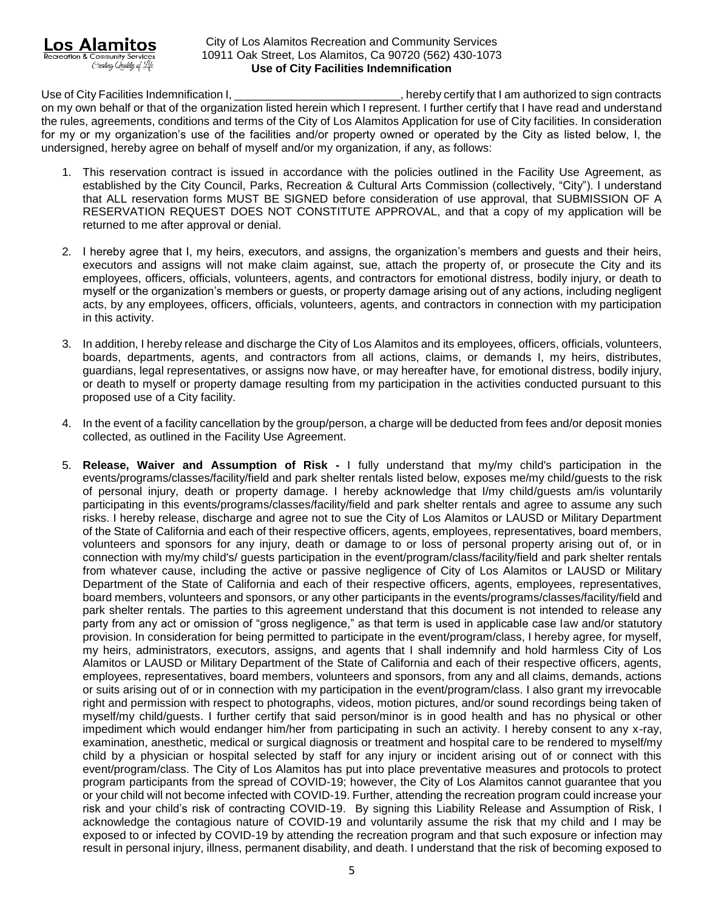

Use of City Facilities Indemnification I, \_\_\_\_\_\_\_\_\_\_\_\_\_\_\_\_\_\_\_\_\_\_\_\_\_\_\_\_, hereby certify that I am authorized to sign contracts on my own behalf or that of the organization listed herein which I represent. I further certify that I have read and understand the rules, agreements, conditions and terms of the City of Los Alamitos Application for use of City facilities. In consideration for my or my organization's use of the facilities and/or property owned or operated by the City as listed below, I, the undersigned, hereby agree on behalf of myself and/or my organization, if any, as follows:

- 1. This reservation contract is issued in accordance with the policies outlined in the Facility Use Agreement, as established by the City Council, Parks, Recreation & Cultural Arts Commission (collectively, "City"). I understand that ALL reservation forms MUST BE SIGNED before consideration of use approval, that SUBMISSION OF A RESERVATION REQUEST DOES NOT CONSTITUTE APPROVAL, and that a copy of my application will be returned to me after approval or denial.
- 2. I hereby agree that I, my heirs, executors, and assigns, the organization's members and guests and their heirs, executors and assigns will not make claim against, sue, attach the property of, or prosecute the City and its employees, officers, officials, volunteers, agents, and contractors for emotional distress, bodily injury, or death to myself or the organization's members or guests, or property damage arising out of any actions, including negligent acts, by any employees, officers, officials, volunteers, agents, and contractors in connection with my participation in this activity.
- 3. In addition, I hereby release and discharge the City of Los Alamitos and its employees, officers, officials, volunteers, boards, departments, agents, and contractors from all actions, claims, or demands I, my heirs, distributes, guardians, legal representatives, or assigns now have, or may hereafter have, for emotional distress, bodily injury, or death to myself or property damage resulting from my participation in the activities conducted pursuant to this proposed use of a City facility.
- 4. In the event of a facility cancellation by the group/person, a charge will be deducted from fees and/or deposit monies collected, as outlined in the Facility Use Agreement.
- 5. **Release, Waiver and Assumption of Risk -** I fully understand that my/my child's participation in the events/programs/classes/facility/field and park shelter rentals listed below, exposes me/my child/guests to the risk of personal injury, death or property damage. I hereby acknowledge that I/my child/guests am/is voluntarily participating in this events/programs/classes/facility/field and park shelter rentals and agree to assume any such risks. I hereby release, discharge and agree not to sue the City of Los Alamitos or LAUSD or Military Department of the State of California and each of their respective officers, agents, employees, representatives, board members, volunteers and sponsors for any injury, death or damage to or loss of personal property arising out of, or in connection with my/my child's/ guests participation in the event/program/class/facility/field and park shelter rentals from whatever cause, including the active or passive negligence of City of Los Alamitos or LAUSD or Military Department of the State of California and each of their respective officers, agents, employees, representatives, board members, volunteers and sponsors, or any other participants in the events/programs/classes/facility/field and park shelter rentals. The parties to this agreement understand that this document is not intended to release any party from any act or omission of "gross negligence," as that term is used in applicable case law and/or statutory provision. In consideration for being permitted to participate in the event/program/class, I hereby agree, for myself, my heirs, administrators, executors, assigns, and agents that I shall indemnify and hold harmless City of Los Alamitos or LAUSD or Military Department of the State of California and each of their respective officers, agents, employees, representatives, board members, volunteers and sponsors, from any and all claims, demands, actions or suits arising out of or in connection with my participation in the event/program/class. I also grant my irrevocable right and permission with respect to photographs, videos, motion pictures, and/or sound recordings being taken of myself/my child/guests. I further certify that said person/minor is in good health and has no physical or other impediment which would endanger him/her from participating in such an activity. I hereby consent to any x-ray, examination, anesthetic, medical or surgical diagnosis or treatment and hospital care to be rendered to myself/my child by a physician or hospital selected by staff for any injury or incident arising out of or connect with this event/program/class. The City of Los Alamitos has put into place preventative measures and protocols to protect program participants from the spread of COVID-19; however, the City of Los Alamitos cannot guarantee that you or your child will not become infected with COVID-19. Further, attending the recreation program could increase your risk and your child's risk of contracting COVID-19. By signing this Liability Release and Assumption of Risk, I acknowledge the contagious nature of COVID-19 and voluntarily assume the risk that my child and I may be exposed to or infected by COVID-19 by attending the recreation program and that such exposure or infection may result in personal injury, illness, permanent disability, and death. I understand that the risk of becoming exposed to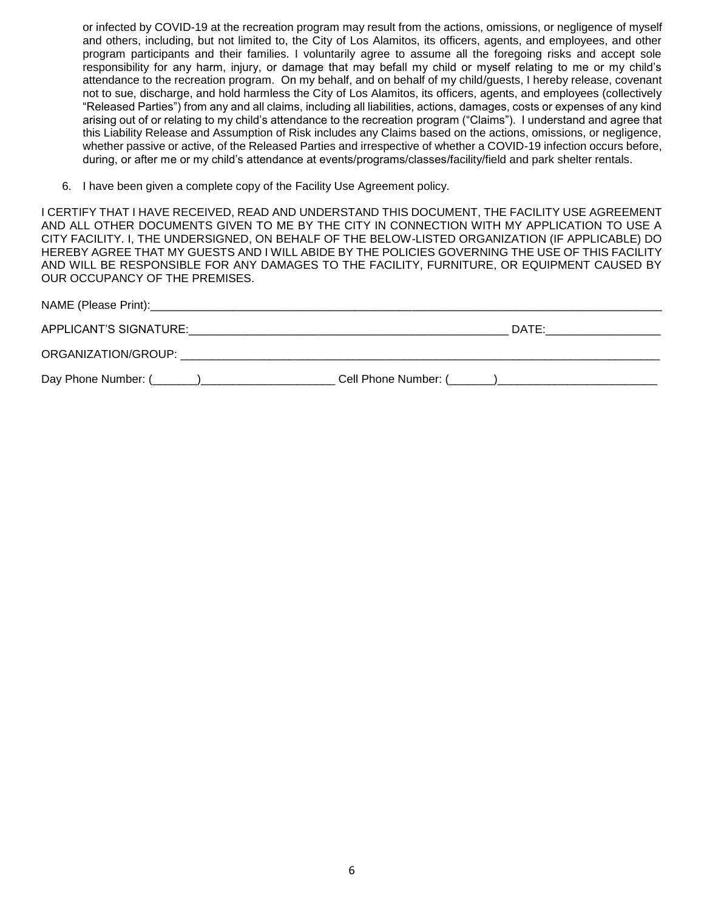or infected by COVID-19 at the recreation program may result from the actions, omissions, or negligence of myself and others, including, but not limited to, the City of Los Alamitos, its officers, agents, and employees, and other program participants and their families. I voluntarily agree to assume all the foregoing risks and accept sole responsibility for any harm, injury, or damage that may befall my child or myself relating to me or my child's attendance to the recreation program. On my behalf, and on behalf of my child/guests, I hereby release, covenant not to sue, discharge, and hold harmless the City of Los Alamitos, its officers, agents, and employees (collectively "Released Parties") from any and all claims, including all liabilities, actions, damages, costs or expenses of any kind arising out of or relating to my child's attendance to the recreation program ("Claims"). I understand and agree that this Liability Release and Assumption of Risk includes any Claims based on the actions, omissions, or negligence, whether passive or active, of the Released Parties and irrespective of whether a COVID-19 infection occurs before, during, or after me or my child's attendance at events/programs/classes/facility/field and park shelter rentals.

6. I have been given a complete copy of the Facility Use Agreement policy.

I CERTIFY THAT I HAVE RECEIVED, READ AND UNDERSTAND THIS DOCUMENT, THE FACILITY USE AGREEMENT AND ALL OTHER DOCUMENTS GIVEN TO ME BY THE CITY IN CONNECTION WITH MY APPLICATION TO USE A CITY FACILITY. I, THE UNDERSIGNED, ON BEHALF OF THE BELOW-LISTED ORGANIZATION (IF APPLICABLE) DO HEREBY AGREE THAT MY GUESTS AND I WILL ABIDE BY THE POLICIES GOVERNING THE USE OF THIS FACILITY AND WILL BE RESPONSIBLE FOR ANY DAMAGES TO THE FACILITY, FURNITURE, OR EQUIPMENT CAUSED BY OUR OCCUPANCY OF THE PREMISES.

| APPLICANT'S SIGNATURE: | DATE:                          |
|------------------------|--------------------------------|
| ORGANIZATION/GROUP:    |                                |
|                        | Cell Phone Number: (Call 2014) |